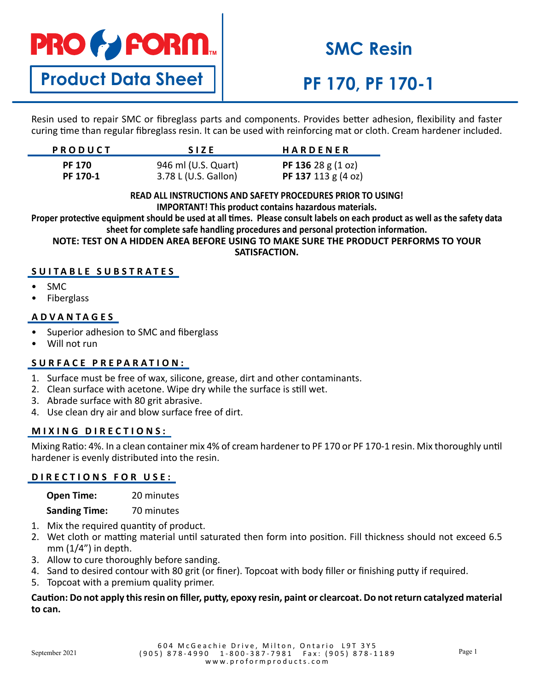# **PRO & FORM.**

## **SMC Resin**

### **Product Data Sheet**

### **PF 170, PF 170-1**

Resin used to repair SMC or fibreglass parts and components. Provides better adhesion, flexibility and faster curing time than regular fibreglass resin. It can be used with reinforcing mat or cloth. Cream hardener included.

| <b>PRODUCT</b> | <b>SIZE</b>          | <b>HARDENER</b>                     |
|----------------|----------------------|-------------------------------------|
| <b>PF 170</b>  | 946 ml (U.S. Quart)  | <b>PF 136</b> 28 g $(1 \text{ oz})$ |
| PF 170-1       | 3.78 L (U.S. Gallon) | PF 137 113 $g$ (4 oz)               |

#### **READ ALL INSTRUCTIONS AND SAFETY PROCEDURES PRIOR TO USING! IMPORTANT! This product contains hazardous materials.**

**Proper protective equipment should be used at all times. Please consult labels on each product as well as the safety data sheet for complete safe handling procedures and personal protection information.**

**NOTE: TEST ON A HIDDEN AREA BEFORE USING TO MAKE SURE THE PRODUCT PERFORMS TO YOUR SATISFACTION.**

### **SUITABLE SUBSTRATES**

- SMC
- **Fiberglass**

#### **ADVANTAGES**

- Superior adhesion to SMC and fiberglass
- Will not run

#### **SURFACE PREPARATION:**

- 1. Surface must be free of wax, silicone, grease, dirt and other contaminants.
- 2. Clean surface with acetone. Wipe dry while the surface is still wet.
- 3. Abrade surface with 80 grit abrasive.
- 4. Use clean dry air and blow surface free of dirt.

#### **MIXING DIRECTIONS:**

Mixing Ratio: 4%. In a clean container mix 4% of cream hardener to PF 170 or PF 170-1 resin. Mix thoroughly until hardener is evenly distributed into the resin.

#### **DIRECTIONS FOR USE:**

| <b>Open Time:</b>    | 20 minutes |
|----------------------|------------|
| <b>Sanding Time:</b> | 70 minutes |

- 1. Mix the required quantity of product.
- 2. Wet cloth or matting material until saturated then form into position. Fill thickness should not exceed 6.5 mm  $(1/4)$  in depth.
- 3. Allow to cure thoroughly before sanding.
- 4. Sand to desired contour with 80 grit (or finer). Topcoat with body filler or finishing putty if required.
- 5. Topcoat with a premium quality primer.

#### **Caution: Do not apply this resin on filler, putty, epoxy resin, paint or clearcoat. Do not return catalyzed material to can.**